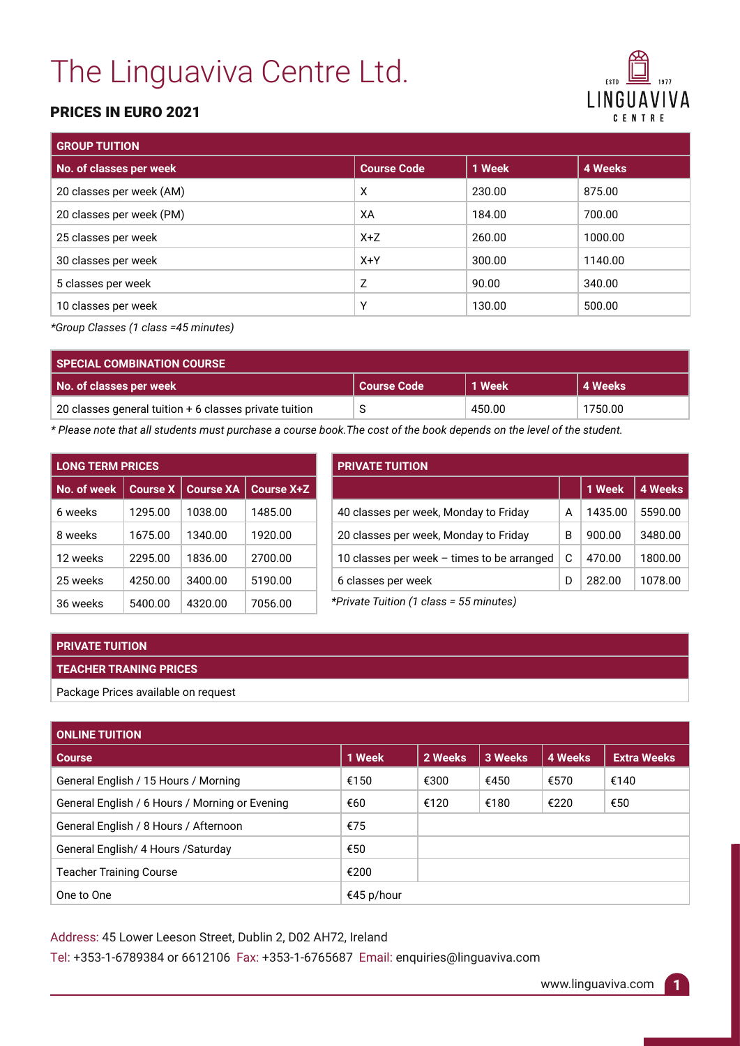# The Linguaviva Centre Ltd.

### PRICES IN EURO 2021

| <b>FSTD</b><br>1977       |
|---------------------------|
| LINGUAVIVA<br>C F N T R F |

| <b>GROUP TUITION</b>     |                    |        |         |  |  |
|--------------------------|--------------------|--------|---------|--|--|
| No. of classes per week  | <b>Course Code</b> | 1 Week | 4 Weeks |  |  |
| 20 classes per week (AM) | X                  | 230.00 | 875.00  |  |  |
| 20 classes per week (PM) | XA                 | 184.00 | 700.00  |  |  |
| 25 classes per week      | $X+Z$              | 260.00 | 1000.00 |  |  |
| 30 classes per week      | $X+Y$              | 300.00 | 1140.00 |  |  |
| 5 classes per week       | Z                  | 90.00  | 340.00  |  |  |
| 10 classes per week      | Υ                  | 130.00 | 500.00  |  |  |

*\*Group Classes (1 class =45 minutes)*

| <b>SPECIAL COMBINATION COURSE</b>                        |                    |        |         |
|----------------------------------------------------------|--------------------|--------|---------|
| No. of classes per week                                  | <b>Course Code</b> | 1 Week | 4 Weeks |
| 20 classes general tuition $+$ 6 classes private tuition | S                  | 450.00 | 1750.00 |

*\* Please note that all students must purchase a course book.The cost of the book depends on the level of the student.*

| <b>LONG TERM PRICES</b> |                 |                  |                   |  |  |
|-------------------------|-----------------|------------------|-------------------|--|--|
| No. of week             | <b>Course X</b> | <b>Course XA</b> | <b>Course X+Z</b> |  |  |
| 6 weeks                 | 1295.00         | 1038.00          | 1485.00           |  |  |
| 8 weeks                 | 1675.00         | 1340.00          | 1920.00           |  |  |
| 12 weeks                | 2295.00         | 1836.00          | 2700.00           |  |  |
| 25 weeks                | 4250.00         | 3400.00          | 5190.00           |  |  |
| 36 weeks                | 5400.00         | 4320.00          | 7056.00           |  |  |

| <b>PRIVATE TUITION</b> |         |                |  |  |  |
|------------------------|---------|----------------|--|--|--|
|                        | 1 Week  | <b>4 Weeks</b> |  |  |  |
| А                      | 1435.00 | 5590.00        |  |  |  |
| B                      | 900.00  | 3480.00        |  |  |  |
| С                      | 470.00  | 1800.00        |  |  |  |
| D                      | 282.00  | 1078.00        |  |  |  |
|                        |         |                |  |  |  |

*\*Private Tuition (1 class = 55 minutes)*

#### **PRIVATE TUITION**

#### **TEACHER TRANING PRICES**

Package Prices available on request

| <b>ONLINE TUITION</b>                          |            |         |         |         |                    |
|------------------------------------------------|------------|---------|---------|---------|--------------------|
| <b>Course</b>                                  | 1 Week     | 2 Weeks | 3 Weeks | 4 Weeks | <b>Extra Weeks</b> |
| General English / 15 Hours / Morning           | €150       | €300    | €450    | €570    | €140               |
| General English / 6 Hours / Morning or Evening | €60        | €120    | €180    | €220    | €50                |
| General English / 8 Hours / Afternoon          | €75        |         |         |         |                    |
| General English/ 4 Hours / Saturday            | €50        |         |         |         |                    |
| <b>Teacher Training Course</b>                 | €200       |         |         |         |                    |
| One to One                                     | €45 p/hour |         |         |         |                    |

Address: 45 Lower Leeson Street, Dublin 2, D02 AH72, Ireland Tel: +353-1-6789384 or 6612106 Fax: +353-1-6765687 Email: enquiries@linguaviva.com

www.linguaviva.com **1**